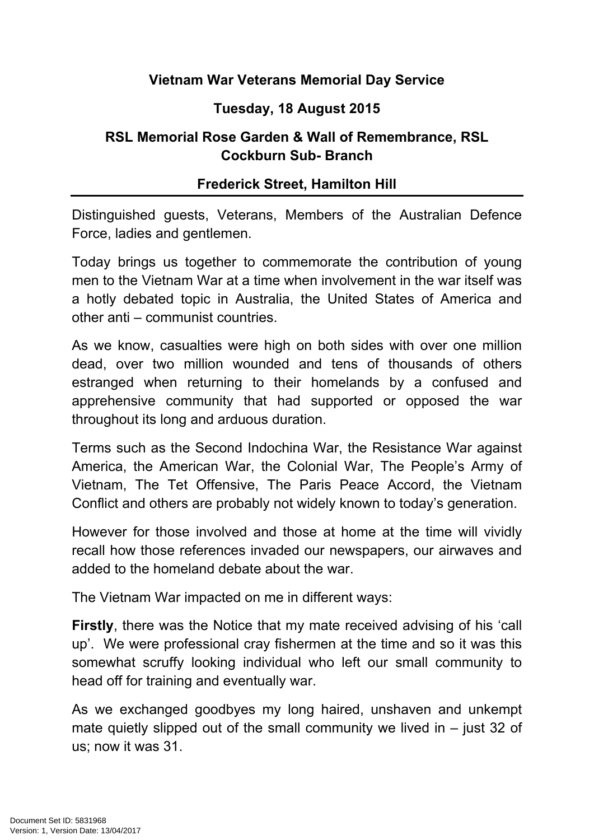## **Vietnam War Veterans Memorial Day Service**

## **Tuesday, 18 August 2015**

## **RSL Memorial Rose Garden & Wall of Remembrance, RSL Cockburn Sub- Branch**

## **Frederick Street, Hamilton Hill**

Distinguished guests, Veterans, Members of the Australian Defence Force, ladies and gentlemen.

Today brings us together to commemorate the contribution of young men to the Vietnam War at a time when involvement in the war itself was a hotly debated topic in Australia, the United States of America and other anti – communist countries.

As we know, casualties were high on both sides with over one million dead, over two million wounded and tens of thousands of others estranged when returning to their homelands by a confused and apprehensive community that had supported or opposed the war throughout its long and arduous duration.

Terms such as the Second Indochina War, the Resistance War against America, the American War, the Colonial War, The People's Army of Vietnam, The Tet Offensive, The Paris Peace Accord, the Vietnam Conflict and others are probably not widely known to today's generation.

However for those involved and those at home at the time will vividly recall how those references invaded our newspapers, our airwaves and added to the homeland debate about the war.

The Vietnam War impacted on me in different ways:

**Firstly**, there was the Notice that my mate received advising of his 'call up'. We were professional cray fishermen at the time and so it was this somewhat scruffy looking individual who left our small community to head off for training and eventually war.

As we exchanged goodbyes my long haired, unshaven and unkempt mate quietly slipped out of the small community we lived in  $-$  just 32 of us; now it was 31.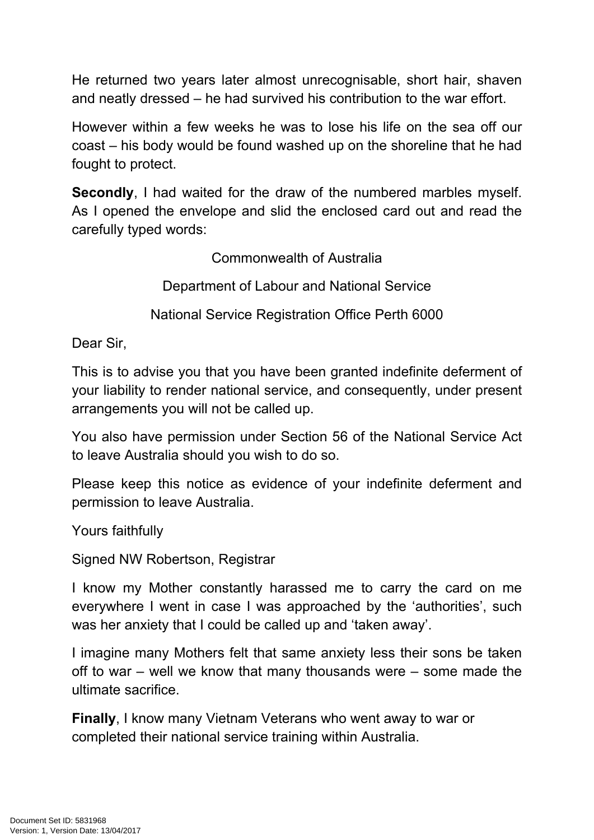He returned two years later almost unrecognisable, short hair, shaven and neatly dressed – he had survived his contribution to the war effort.

However within a few weeks he was to lose his life on the sea off our coast – his body would be found washed up on the shoreline that he had fought to protect.

**Secondly**, I had waited for the draw of the numbered marbles myself. As I opened the envelope and slid the enclosed card out and read the carefully typed words:

Commonwealth of Australia

Department of Labour and National Service

National Service Registration Office Perth 6000

Dear Sir,

This is to advise you that you have been granted indefinite deferment of your liability to render national service, and consequently, under present arrangements you will not be called up.

You also have permission under Section 56 of the National Service Act to leave Australia should you wish to do so.

Please keep this notice as evidence of your indefinite deferment and permission to leave Australia.

Yours faithfully

Signed NW Robertson, Registrar

I know my Mother constantly harassed me to carry the card on me everywhere I went in case I was approached by the 'authorities', such was her anxiety that I could be called up and 'taken away'.

I imagine many Mothers felt that same anxiety less their sons be taken off to war – well we know that many thousands were – some made the ultimate sacrifice.

**Finally**, I know many Vietnam Veterans who went away to war or completed their national service training within Australia.